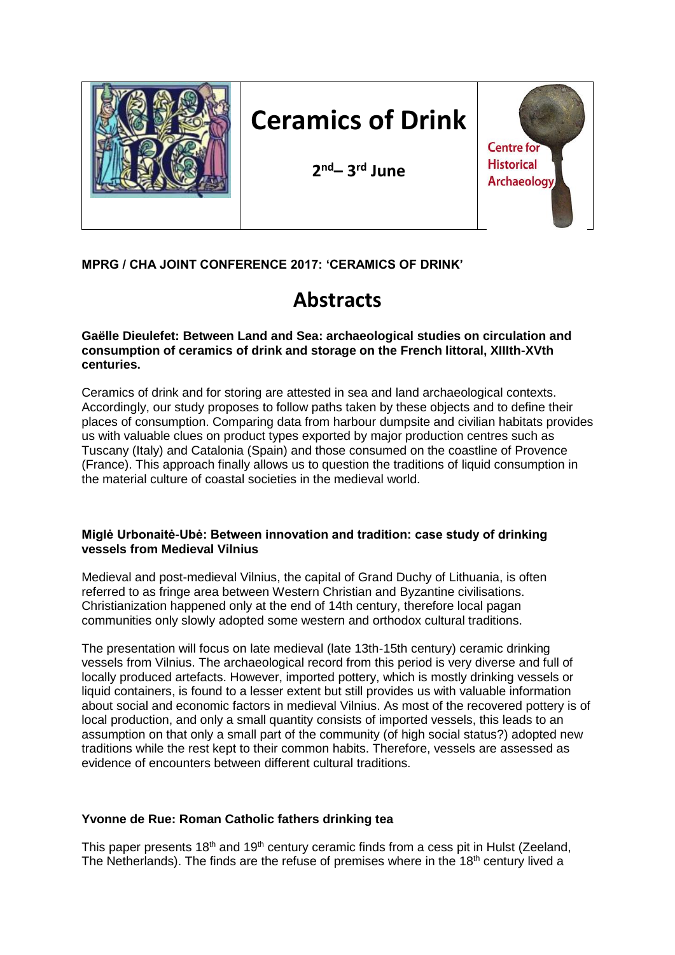

# **Ceramics of Drink**

**2 nd– 3 rd June**



### **MPRG / CHA JOINT CONFERENCE 2017: 'CERAMICS OF DRINK'**

## **Abstracts**

**Gaëlle Dieulefet: Between Land and Sea: archaeological studies on circulation and consumption of ceramics of drink and storage on the French littoral, XIIIth-XVth centuries.**

Ceramics of drink and for storing are attested in sea and land archaeological contexts. Accordingly, our study proposes to follow paths taken by these objects and to define their places of consumption. Comparing data from harbour dumpsite and civilian habitats provides us with valuable clues on product types exported by major production centres such as Tuscany (Italy) and Catalonia (Spain) and those consumed on the coastline of Provence (France). This approach finally allows us to question the traditions of liquid consumption in the material culture of coastal societies in the medieval world.

#### **Miglė Urbonaitė-Ubė: Between innovation and tradition: case study of drinking vessels from Medieval Vilnius**

Medieval and post-medieval Vilnius, the capital of Grand Duchy of Lithuania, is often referred to as fringe area between Western Christian and Byzantine civilisations. Christianization happened only at the end of 14th century, therefore local pagan communities only slowly adopted some western and orthodox cultural traditions.

The presentation will focus on late medieval (late 13th-15th century) ceramic drinking vessels from Vilnius. The archaeological record from this period is very diverse and full of locally produced artefacts. However, imported pottery, which is mostly drinking vessels or liquid containers, is found to a lesser extent but still provides us with valuable information about social and economic factors in medieval Vilnius. As most of the recovered pottery is of local production, and only a small quantity consists of imported vessels, this leads to an assumption on that only a small part of the community (of high social status?) adopted new traditions while the rest kept to their common habits. Therefore, vessels are assessed as evidence of encounters between different cultural traditions.

#### **Yvonne de Rue: Roman Catholic fathers drinking tea**

This paper presents 18<sup>th</sup> and 19<sup>th</sup> century ceramic finds from a cess pit in Hulst (Zeeland, The Netherlands). The finds are the refuse of premises where in the  $18<sup>th</sup>$  century lived a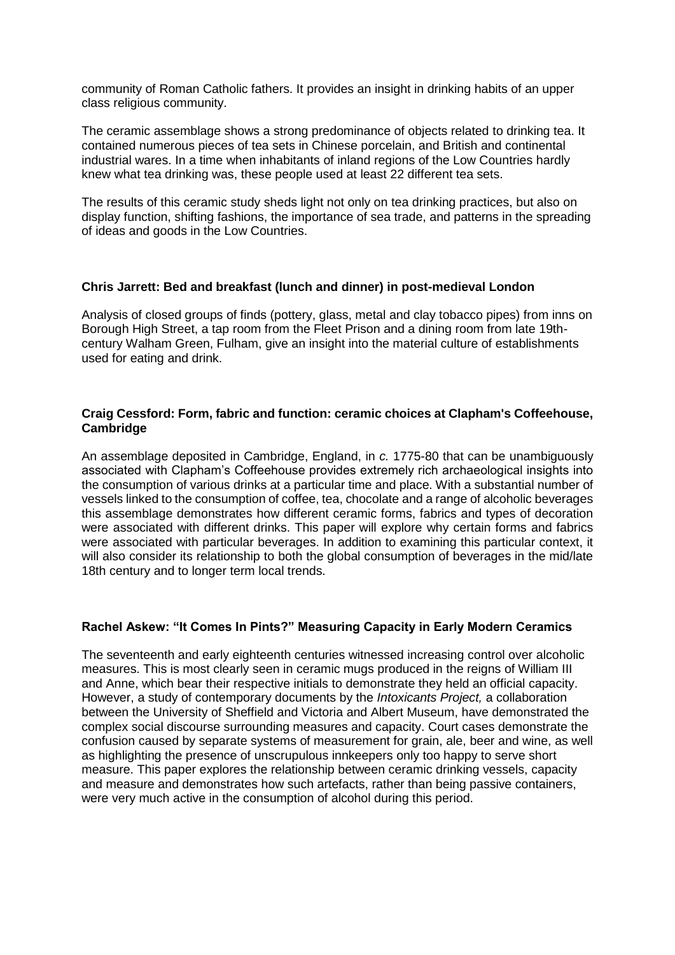community of Roman Catholic fathers. It provides an insight in drinking habits of an upper class religious community.

The ceramic assemblage shows a strong predominance of objects related to drinking tea. It contained numerous pieces of tea sets in Chinese porcelain, and British and continental industrial wares. In a time when inhabitants of inland regions of the Low Countries hardly knew what tea drinking was, these people used at least 22 different tea sets.

The results of this ceramic study sheds light not only on tea drinking practices, but also on display function, shifting fashions, the importance of sea trade, and patterns in the spreading of ideas and goods in the Low Countries.

#### **Chris Jarrett: Bed and breakfast (lunch and dinner) in post-medieval London**

Analysis of closed groups of finds (pottery, glass, metal and clay tobacco pipes) from inns on Borough High Street, a tap room from the Fleet Prison and a dining room from late 19thcentury Walham Green, Fulham, give an insight into the material culture of establishments used for eating and drink.

#### **Craig Cessford: Form, fabric and function: ceramic choices at Clapham's Coffeehouse, Cambridge**

An assemblage deposited in Cambridge, England, in *c.* 1775-80 that can be unambiguously associated with Clapham's Coffeehouse provides extremely rich archaeological insights into the consumption of various drinks at a particular time and place. With a substantial number of vessels linked to the consumption of coffee, tea, chocolate and a range of alcoholic beverages this assemblage demonstrates how different ceramic forms, fabrics and types of decoration were associated with different drinks. This paper will explore why certain forms and fabrics were associated with particular beverages. In addition to examining this particular context, it will also consider its relationship to both the global consumption of beverages in the mid/late 18th century and to longer term local trends.

#### **Rachel Askew: "It Comes In Pints?" Measuring Capacity in Early Modern Ceramics**

The seventeenth and early eighteenth centuries witnessed increasing control over alcoholic measures. This is most clearly seen in ceramic mugs produced in the reigns of William III and Anne, which bear their respective initials to demonstrate they held an official capacity. However, a study of contemporary documents by the *Intoxicants Project,* a collaboration between the University of Sheffield and Victoria and Albert Museum, have demonstrated the complex social discourse surrounding measures and capacity. Court cases demonstrate the confusion caused by separate systems of measurement for grain, ale, beer and wine, as well as highlighting the presence of unscrupulous innkeepers only too happy to serve short measure. This paper explores the relationship between ceramic drinking vessels, capacity and measure and demonstrates how such artefacts, rather than being passive containers, were very much active in the consumption of alcohol during this period.